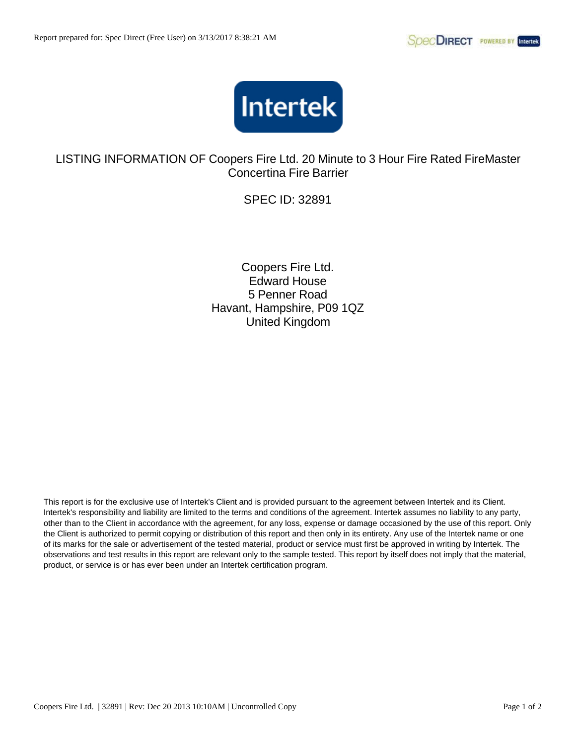

LISTING INFORMATION OF Coopers Fire Ltd. 20 Minute to 3 Hour Fire Rated FireMaster Concertina Fire Barrier

SPEC ID: 32891

Coopers Fire Ltd. Edward House 5 Penner Road Havant, Hampshire, P09 1QZ United Kingdom

This report is for the exclusive use of Intertek's Client and is provided pursuant to the agreement between Intertek and its Client. Intertek's responsibility and liability are limited to the terms and conditions of the agreement. Intertek assumes no liability to any party, other than to the Client in accordance with the agreement, for any loss, expense or damage occasioned by the use of this report. Only the Client is authorized to permit copying or distribution of this report and then only in its entirety. Any use of the Intertek name or one of its marks for the sale or advertisement of the tested material, product or service must first be approved in writing by Intertek. The observations and test results in this report are relevant only to the sample tested. This report by itself does not imply that the material, product, or service is or has ever been under an Intertek certification program.